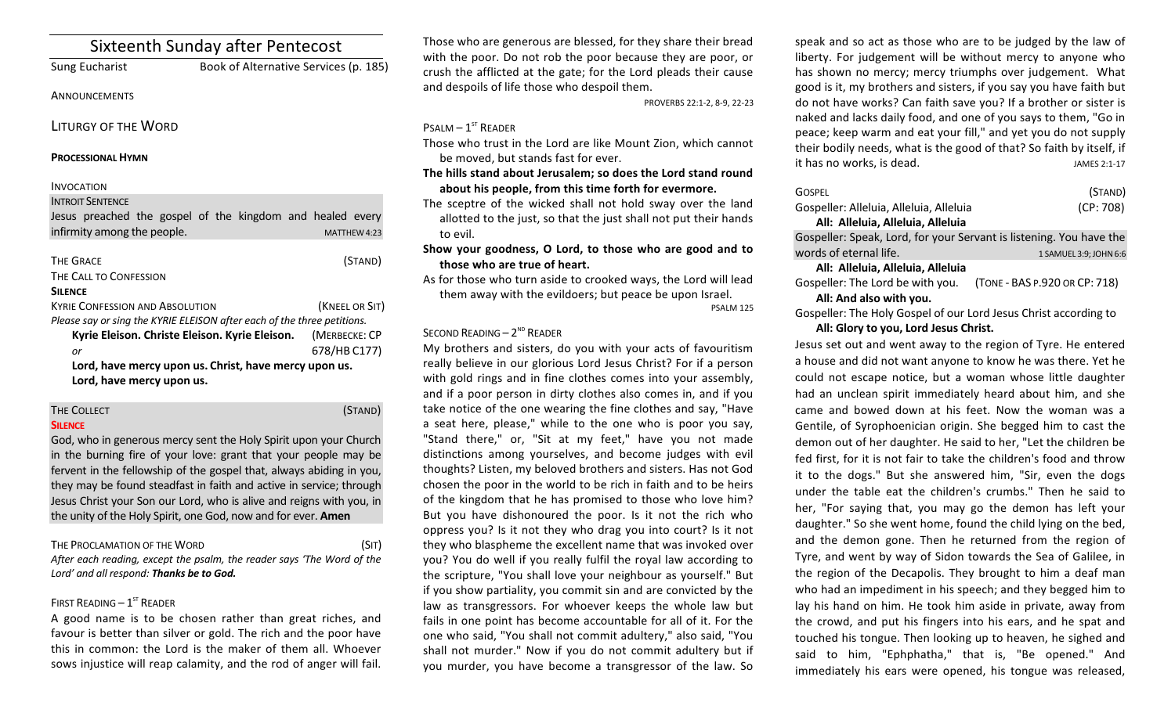# Sixteenth Sunday after Pentecost

## Sung Eucharist Book of Alternative Services (p. 185)

## **ANNOUNCEMENTS**

LITURGY OF THE WORD

#### **PROCESSIONAL HYMN**

## INVOCATION

**INTROIT SENTENCE** 

Jesus preached the gospel of the kingdom and healed every infirmity among the people. MATTHEW 4:23 THE GRACE (STAND) THE CALL TO CONFESSION

### **SILENCE**

KYRIE CONFESSION AND ABSOLUTION *NATEL OR SIT* (*KNEEL OR SIT*) *Please say or sing the KYRIE ELEISON after each of the three petitions.* **Kyrie Eleison. Christe Eleison. Kyrie Eleison.** (MERBECKE: CP *or* 678/HB C177) Lord, have mercy upon us. Christ, have mercy upon us. Lord, have mercy upon us.

THE COLLECT **THE COLLECT COLLECT COLLECT COLLECT COLLECT COLLECT COLLECT COLLECT COLLECT COLLECT SILENCE**

God, who in generous mercy sent the Holy Spirit upon your Church in the burning fire of your love: grant that your people may be fervent in the fellowship of the gospel that, always abiding in you, they may be found steadfast in faith and active in service; through Jesus Christ your Son our Lord, who is alive and reigns with you, in the unity of the Holy Spirit, one God, now and for ever. Amen

## THE PROCLAMATION OF THE WORD (SIT)

After each reading, except the psalm, the reader says 'The Word of the Lord' and all respond: Thanks be to God.

## **FIRST READING -**  $1^{ST}$  **READER**

A good name is to be chosen rather than great riches, and favour is better than silver or gold. The rich and the poor have this in common: the Lord is the maker of them all. Whoever sows injustice will reap calamity, and the rod of anger will fail.

Those who are generous are blessed, for they share their bread with the poor. Do not rob the poor because they are poor, or crush the afflicted at the gate; for the Lord pleads their cause and despoils of life those who despoil them.

PROVERBS 22:1-2, 8-9, 22-23

## $P$ SALM –  $1^{ST}$  RFADER

Those who trust in the Lord are like Mount Zion, which cannot be moved, but stands fast for ever.

## The hills stand about Jerusalem; so does the Lord stand round about his people, from this time forth for evermore.

The sceptre of the wicked shall not hold sway over the land allotted to the just, so that the just shall not put their hands to evil.

Show your goodness, O Lord, to those who are good and to **those who are true of heart.** 

As for those who turn aside to crooked ways, the Lord will lead them away with the evildoers; but peace be upon Israel. PSALM 125

## SECOND READING  $- 2^{ND}$  READER

My brothers and sisters, do you with your acts of favouritism really believe in our glorious Lord Jesus Christ? For if a person with gold rings and in fine clothes comes into your assembly, and if a poor person in dirty clothes also comes in, and if you take notice of the one wearing the fine clothes and say, "Have a seat here, please," while to the one who is poor you say, "Stand there," or, "Sit at my feet," have you not made distinctions among yourselves, and become judges with evil thoughts? Listen, my beloved brothers and sisters. Has not God chosen the poor in the world to be rich in faith and to be heirs of the kingdom that he has promised to those who love him? But you have dishonoured the poor. Is it not the rich who oppress you? Is it not they who drag you into court? Is it not they who blaspheme the excellent name that was invoked over you? You do well if you really fulfil the royal law according to the scripture, "You shall love your neighbour as yourself." But if you show partiality, you commit sin and are convicted by the law as transgressors. For whoever keeps the whole law but fails in one point has become accountable for all of it. For the one who said, "You shall not commit adultery," also said, "You shall not murder." Now if you do not commit adultery but if you murder, you have become a transgressor of the law. So speak and so act as those who are to be judged by the law of liberty. For judgement will be without mercy to anyone who has shown no mercy; mercy triumphs over judgement. What good is it, my brothers and sisters, if you say you have faith but do not have works? Can faith save you? If a brother or sister is naked and lacks daily food, and one of you says to them, "Go in peace; keep warm and eat your fill," and yet you do not supply their bodily needs, what is the good of that? So faith by itself, if it has no works, is dead. In the same set of the set of the set of the set of the set of the set of the set of the set of the set of the set of the set of the set of the set of the set of the set of the set of the set of t

| GOSPEL                                                              |                               | (STAND)                |
|---------------------------------------------------------------------|-------------------------------|------------------------|
| Gospeller: Alleluia, Alleluia, Alleluia                             |                               | (CP: 708)              |
| All: Alleluia, Alleluia, Alleluia                                   |                               |                        |
| Gospeller: Speak, Lord, for your Servant is listening. You have the |                               |                        |
| words of eternal life.                                              |                               | 1 SAMUEL 3:9; JOHN 6:6 |
| All: Alleluia, Alleluia, Alleluia                                   |                               |                        |
| Gospeller: The Lord be with you.                                    | (TONE - BAS P.920 OR CP: 718) |                        |
| All: And also with you.                                             |                               |                        |
|                                                                     |                               |                        |

Gospeller: The Holy Gospel of our Lord Jesus Christ according to

## All: Glory to you, Lord Jesus Christ.

Jesus set out and went away to the region of Tyre. He entered a house and did not want anyone to know he was there. Yet he could not escape notice, but a woman whose little daughter had an unclean spirit immediately heard about him, and she came and bowed down at his feet. Now the woman was a Gentile, of Syrophoenician origin. She begged him to cast the demon out of her daughter. He said to her, "Let the children be fed first, for it is not fair to take the children's food and throw it to the dogs." But she answered him, "Sir, even the dogs under the table eat the children's crumbs." Then he said to her, "For saying that, you may go the demon has left your daughter." So she went home, found the child lying on the bed, and the demon gone. Then he returned from the region of Tyre, and went by way of Sidon towards the Sea of Galilee, in the region of the Decapolis. They brought to him a deaf man who had an impediment in his speech; and they begged him to lay his hand on him. He took him aside in private, away from the crowd, and put his fingers into his ears, and he spat and touched his tongue. Then looking up to heaven, he sighed and said to him, "Ephphatha," that is, "Be opened." And immediately his ears were opened, his tongue was released,